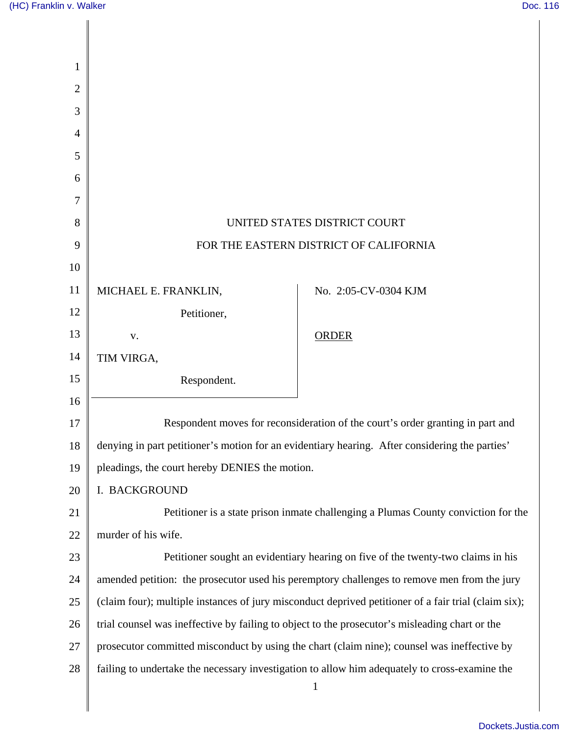Π

| 1              |                                                                                                      |                                                                                               |
|----------------|------------------------------------------------------------------------------------------------------|-----------------------------------------------------------------------------------------------|
| $\overline{2}$ |                                                                                                      |                                                                                               |
| 3              |                                                                                                      |                                                                                               |
| $\overline{4}$ |                                                                                                      |                                                                                               |
| 5              |                                                                                                      |                                                                                               |
| 6              |                                                                                                      |                                                                                               |
| 7              |                                                                                                      |                                                                                               |
| 8              | UNITED STATES DISTRICT COURT                                                                         |                                                                                               |
| 9              | FOR THE EASTERN DISTRICT OF CALIFORNIA                                                               |                                                                                               |
| 10             |                                                                                                      |                                                                                               |
| 11             | MICHAEL E. FRANKLIN,                                                                                 | No. 2:05-CV-0304 KJM                                                                          |
| 12             | Petitioner,                                                                                          |                                                                                               |
| 13             | V.                                                                                                   | <b>ORDER</b>                                                                                  |
| 14             | TIM VIRGA,                                                                                           |                                                                                               |
| 15             | Respondent.                                                                                          |                                                                                               |
| 16             |                                                                                                      |                                                                                               |
| 17             |                                                                                                      | Respondent moves for reconsideration of the court's order granting in part and                |
| 18             | denying in part petitioner's motion for an evidentiary hearing. After considering the parties'       |                                                                                               |
| 19             | pleadings, the court hereby DENIES the motion.                                                       |                                                                                               |
| 20             | I. BACKGROUND                                                                                        |                                                                                               |
| 21             | Petitioner is a state prison inmate challenging a Plumas County conviction for the                   |                                                                                               |
| 22             | murder of his wife.                                                                                  |                                                                                               |
| 23             | Petitioner sought an evidentiary hearing on five of the twenty-two claims in his                     |                                                                                               |
| 24             | amended petition: the prosecutor used his peremptory challenges to remove men from the jury          |                                                                                               |
| 25             | (claim four); multiple instances of jury misconduct deprived petitioner of a fair trial (claim six); |                                                                                               |
| 26             | trial counsel was ineffective by failing to object to the prosecutor's misleading chart or the       |                                                                                               |
| 27             | prosecutor committed misconduct by using the chart (claim nine); counsel was ineffective by          |                                                                                               |
| 28             |                                                                                                      | failing to undertake the necessary investigation to allow him adequately to cross-examine the |
|                |                                                                                                      | $\mathbf{1}$                                                                                  |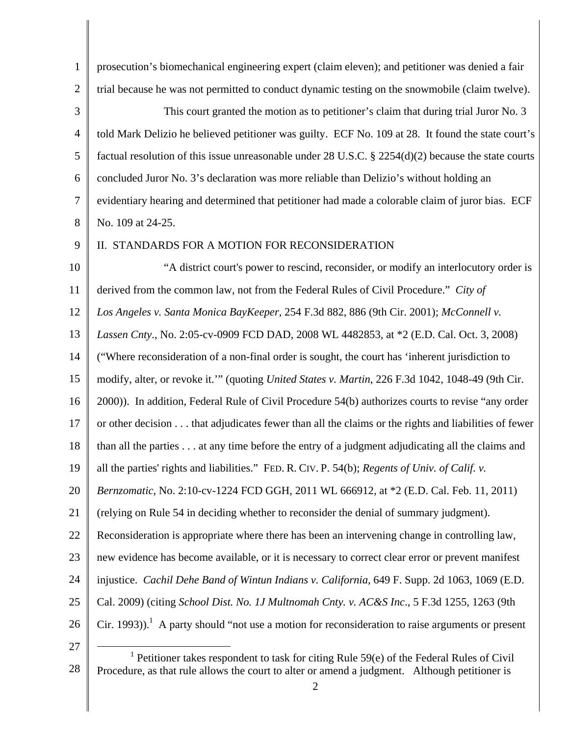| $\mathbf{1}$   | prosecution's biomechanical engineering expert (claim eleven); and petitioner was denied a fair              |
|----------------|--------------------------------------------------------------------------------------------------------------|
| 2              | trial because he was not permitted to conduct dynamic testing on the snowmobile (claim twelve).              |
| 3              | This court granted the motion as to petitioner's claim that during trial Juror No. 3                         |
| $\overline{4}$ | told Mark Delizio he believed petitioner was guilty. ECF No. 109 at 28. It found the state court's           |
| 5              | factual resolution of this issue unreasonable under 28 U.S.C. $\S$ 2254(d)(2) because the state courts       |
| 6              | concluded Juror No. 3's declaration was more reliable than Delizio's without holding an                      |
| $\tau$         | evidentiary hearing and determined that petitioner had made a colorable claim of juror bias. ECF             |
| 8              | No. 109 at 24-25.                                                                                            |
| 9              | II. STANDARDS FOR A MOTION FOR RECONSIDERATION                                                               |
| 10             | "A district court's power to rescind, reconsider, or modify an interlocutory order is                        |
| 11             | derived from the common law, not from the Federal Rules of Civil Procedure." City of                         |
| 12             | Los Angeles v. Santa Monica BayKeeper, 254 F.3d 882, 886 (9th Cir. 2001); McConnell v.                       |
| 13             | Lassen Cnty., No. 2:05-cv-0909 FCD DAD, 2008 WL 4482853, at *2 (E.D. Cal. Oct. 3, 2008)                      |
| 14             | ("Where reconsideration of a non-final order is sought, the court has 'inherent jurisdiction to              |
| 15             | modify, alter, or revoke it."" (quoting <i>United States v. Martin</i> , 226 F.3d 1042, 1048-49 (9th Cir.    |
| 16             | 2000)). In addition, Federal Rule of Civil Procedure 54(b) authorizes courts to revise "any order            |
| 17             | or other decision that adjudicates fewer than all the claims or the rights and liabilities of fewer          |
| 18             | than all the parties at any time before the entry of a judgment adjudicating all the claims and              |
| 19             | all the parties' rights and liabilities." FED. R. CIV. P. 54(b); Regents of Univ. of Calif. v.               |
| 20             | <i>Bernzomatic</i> , No. 2:10-cv-1224 FCD GGH, 2011 WL 666912, at *2 (E.D. Cal. Feb. 11, 2011)               |
| 21             | (relying on Rule 54 in deciding whether to reconsider the denial of summary judgment).                       |
| 22             | Reconsideration is appropriate where there has been an intervening change in controlling law,                |
| 23             | new evidence has become available, or it is necessary to correct clear error or prevent manifest             |
| 24             | injustice. <i>Cachil Dehe Band of Wintun Indians v. California</i> , 649 F. Supp. 2d 1063, 1069 (E.D.        |
| 25             | Cal. 2009) (citing School Dist. No. 1J Multnomah Cnty. v. AC&S Inc., 5 F.3d 1255, 1263 (9th                  |
| 26             | Cir. 1993)). <sup>1</sup> A party should "not use a motion for reconsideration to raise arguments or present |
| 27             | $1$ Petitioner takes respondent to task for citing Rule 59(e) of the Federal Rules of Civil                  |

<sup>28</sup>  Procedure, as that rule allows the court to alter or amend a judgment. Although petitioner is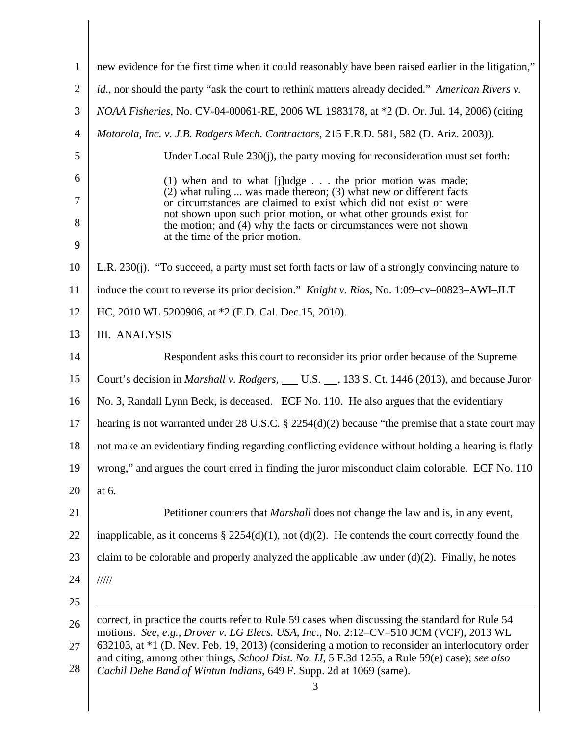| $\mathbf{1}$   | new evidence for the first time when it could reasonably have been raised earlier in the litigation,"                                                                                                          |  |
|----------------|----------------------------------------------------------------------------------------------------------------------------------------------------------------------------------------------------------------|--|
| $\overline{2}$ | id., nor should the party "ask the court to rethink matters already decided." American Rivers v.                                                                                                               |  |
| 3              | NOAA Fisheries, No. CV-04-00061-RE, 2006 WL 1983178, at *2 (D. Or. Jul. 14, 2006) (citing                                                                                                                      |  |
| $\overline{4}$ | Motorola, Inc. v. J.B. Rodgers Mech. Contractors, 215 F.R.D. 581, 582 (D. Ariz. 2003)).                                                                                                                        |  |
| 5              | Under Local Rule 230(j), the party moving for reconsideration must set forth:                                                                                                                                  |  |
| 6              | $(1)$ when and to what [j]udge the prior motion was made;                                                                                                                                                      |  |
| 7              | $(2)$ what ruling  was made thereon; (3) what new or different facts<br>or circumstances are claimed to exist which did not exist or were<br>not shown upon such prior motion, or what other grounds exist for |  |
| 8<br>9         | the motion; and (4) why the facts or circumstances were not shown<br>at the time of the prior motion.                                                                                                          |  |
| 10             | L.R. 230(j). "To succeed, a party must set forth facts or law of a strongly convincing nature to                                                                                                               |  |
| 11             | induce the court to reverse its prior decision." <i>Knight v. Rios</i> , No. 1:09–cv–00823–AWI–JLT                                                                                                             |  |
| 12             | HC, 2010 WL 5200906, at *2 (E.D. Cal. Dec.15, 2010).                                                                                                                                                           |  |
| 13             | <b>III. ANALYSIS</b>                                                                                                                                                                                           |  |
| 14             | Respondent asks this court to reconsider its prior order because of the Supreme                                                                                                                                |  |
| 15             | Court's decision in <i>Marshall v. Rodgers</i> , ___ U.S. __, 133 S. Ct. 1446 (2013), and because Juror                                                                                                        |  |
| 16             | No. 3, Randall Lynn Beck, is deceased. ECF No. 110. He also argues that the evidentiary                                                                                                                        |  |
| 17             | hearing is not warranted under 28 U.S.C. $\S$ 2254(d)(2) because "the premise that a state court may                                                                                                           |  |
| 18             | not make an evidentiary finding regarding conflicting evidence without holding a hearing is flatly                                                                                                             |  |
| 19             | wrong," and argues the court erred in finding the juror misconduct claim colorable. ECF No. 110                                                                                                                |  |
| 20             | at 6.                                                                                                                                                                                                          |  |
| 21             | Petitioner counters that <i>Marshall</i> does not change the law and is, in any event,                                                                                                                         |  |
| 22             | inapplicable, as it concerns $\S 2254(d)(1)$ , not (d)(2). He contends the court correctly found the                                                                                                           |  |
| 23             | claim to be colorable and properly analyzed the applicable law under $(d)(2)$ . Finally, he notes                                                                                                              |  |
| 24             | 11111                                                                                                                                                                                                          |  |
| 25             |                                                                                                                                                                                                                |  |
| 26             | correct, in practice the courts refer to Rule 59 cases when discussing the standard for Rule 54<br>motions. See, e.g., Drover v. LG Elecs. USA, Inc., No. 2:12-CV-510 JCM (VCF), 2013 WL                       |  |
| 27             | 632103, at *1 (D. Nev. Feb. 19, 2013) (considering a motion to reconsider an interlocutory order                                                                                                               |  |
| 28             | and citing, among other things, <i>School Dist. No. IJ</i> , 5 F.3d 1255, a Rule 59(e) case); see also<br>Cachil Dehe Band of Wintun Indians, 649 F. Supp. 2d at 1069 (same).<br>3                             |  |
|                |                                                                                                                                                                                                                |  |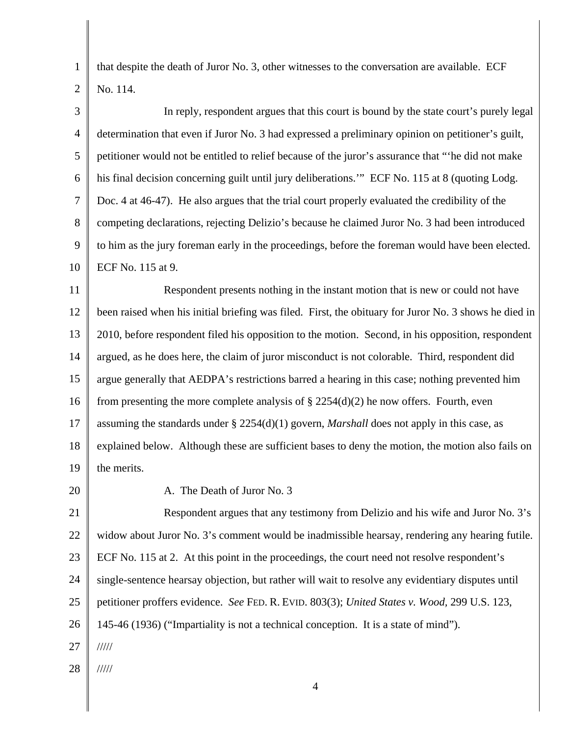that despite the death of Juror No. 3, other witnesses to the conversation are available. ECF No. 114.

3 4 5 6 7 8 9 10 In reply, respondent argues that this court is bound by the state court's purely legal determination that even if Juror No. 3 had expressed a preliminary opinion on petitioner's guilt, petitioner would not be entitled to relief because of the juror's assurance that "'he did not make his final decision concerning guilt until jury deliberations." ECF No. 115 at 8 (quoting Lodg. Doc. 4 at 46-47). He also argues that the trial court properly evaluated the credibility of the competing declarations, rejecting Delizio's because he claimed Juror No. 3 had been introduced to him as the jury foreman early in the proceedings, before the foreman would have been elected. ECF No. 115 at 9.

11 12 13 14 15 16 17 18 19 Respondent presents nothing in the instant motion that is new or could not have been raised when his initial briefing was filed. First, the obituary for Juror No. 3 shows he died in 2010, before respondent filed his opposition to the motion. Second, in his opposition, respondent argued, as he does here, the claim of juror misconduct is not colorable. Third, respondent did argue generally that AEDPA's restrictions barred a hearing in this case; nothing prevented him from presenting the more complete analysis of  $\S 2254(d)(2)$  he now offers. Fourth, even assuming the standards under § 2254(d)(1) govern, *Marshall* does not apply in this case, as explained below. Although these are sufficient bases to deny the motion, the motion also fails on the merits.

20

1

2

A. The Death of Juror No. 3

21 22 23 24 25 26 27 Respondent argues that any testimony from Delizio and his wife and Juror No. 3's widow about Juror No. 3's comment would be inadmissible hearsay, rendering any hearing futile. ECF No. 115 at 2. At this point in the proceedings, the court need not resolve respondent's single-sentence hearsay objection, but rather will wait to resolve any evidentiary disputes until petitioner proffers evidence. *See* FED. R. EVID. 803(3); *United States v. Wood,* 299 U.S. 123, 145-46 (1936) ("Impartiality is not a technical conception. It is a state of mind"). /////

28 /////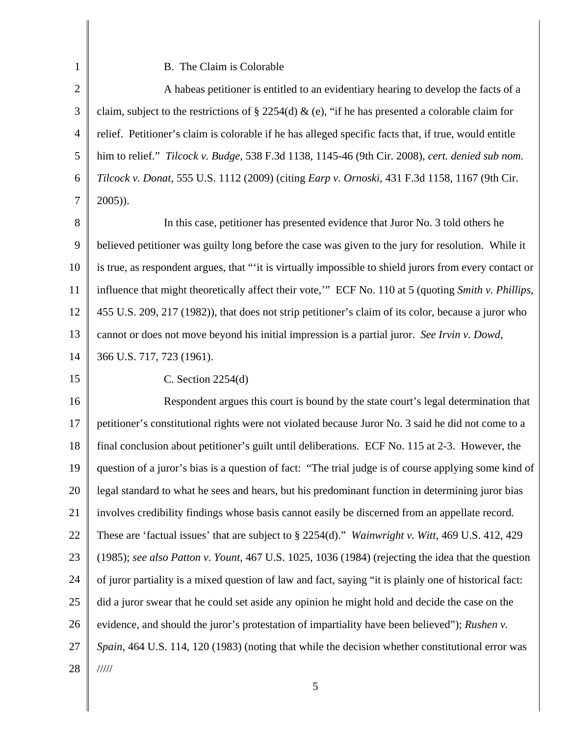B. The Claim is Colorable

2 3 4 5 6 7 A habeas petitioner is entitled to an evidentiary hearing to develop the facts of a claim, subject to the restrictions of § 2254(d) & (e), "if he has presented a colorable claim for relief. Petitioner's claim is colorable if he has alleged specific facts that, if true, would entitle him to relief." *Tilcock v. Budge*, 538 F.3d 1138, 1145-46 (9th Cir. 2008), *cert. denied sub nom. Tilcock v. Donat*, 555 U.S. 1112 (2009) (citing *Earp v. Ornoski*, 431 F.3d 1158, 1167 (9th Cir. 2005)).

8 9 10 11 12 13 14 In this case, petitioner has presented evidence that Juror No. 3 told others he believed petitioner was guilty long before the case was given to the jury for resolution. While it is true, as respondent argues, that "'it is virtually impossible to shield jurors from every contact or influence that might theoretically affect their vote,'" ECF No. 110 at 5 (quoting *Smith v. Phillips*, 455 U.S. 209, 217 (1982)), that does not strip petitioner's claim of its color, because a juror who cannot or does not move beyond his initial impression is a partial juror. *See Irvin v. Dowd*, 366 U.S. 717, 723 (1961).

15

1

C. Section 2254(d)

16 17 18 19 20 21 22 23 24 25 26 27 28 Respondent argues this court is bound by the state court's legal determination that petitioner's constitutional rights were not violated because Juror No. 3 said he did not come to a final conclusion about petitioner's guilt until deliberations. ECF No. 115 at 2-3. However, the question of a juror's bias is a question of fact: "The trial judge is of course applying some kind of legal standard to what he sees and hears, but his predominant function in determining juror bias involves credibility findings whose basis cannot easily be discerned from an appellate record. These are 'factual issues' that are subject to § 2254(d)." *Wainwright v. Witt*, 469 U.S. 412, 429 (1985); *see also Patton v. Yount*, 467 U.S. 1025, 1036 (1984) (rejecting the idea that the question of juror partiality is a mixed question of law and fact, saying "it is plainly one of historical fact: did a juror swear that he could set aside any opinion he might hold and decide the case on the evidence, and should the juror's protestation of impartiality have been believed"); *Rushen v. Spain*, 464 U.S. 114, 120 (1983) (noting that while the decision whether constitutional error was /////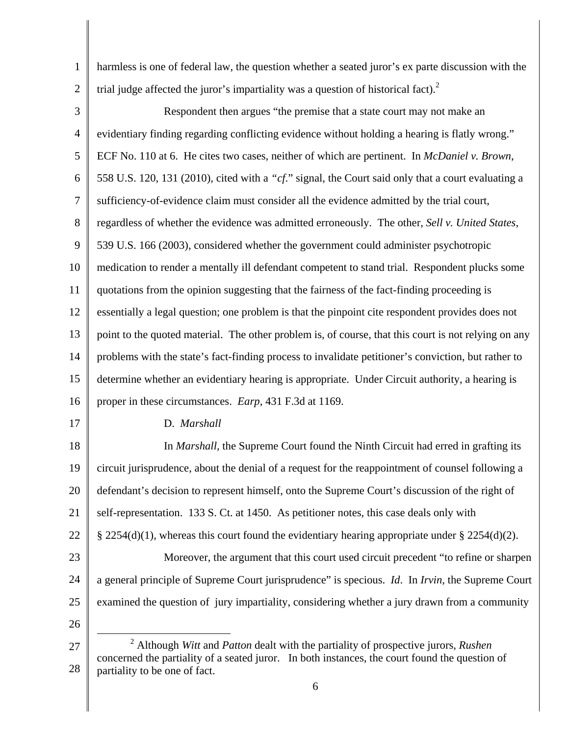1 2 harmless is one of federal law, the question whether a seated juror's ex parte discussion with the trial judge affected the juror's impartiality was a question of historical fact).<sup>2</sup>

3 4 5 6 7 8 9 10 11 12 13 14 15 16 Respondent then argues "the premise that a state court may not make an evidentiary finding regarding conflicting evidence without holding a hearing is flatly wrong." ECF No. 110 at 6. He cites two cases, neither of which are pertinent. In *McDaniel v. Brown*, 558 U.S. 120, 131 (2010), cited with a *"cf*." signal, the Court said only that a court evaluating a sufficiency-of-evidence claim must consider all the evidence admitted by the trial court, regardless of whether the evidence was admitted erroneously. The other, *Sell v. United States*, 539 U.S. 166 (2003), considered whether the government could administer psychotropic medication to render a mentally ill defendant competent to stand trial. Respondent plucks some quotations from the opinion suggesting that the fairness of the fact-finding proceeding is essentially a legal question; one problem is that the pinpoint cite respondent provides does not point to the quoted material. The other problem is, of course, that this court is not relying on any problems with the state's fact-finding process to invalidate petitioner's conviction, but rather to determine whether an evidentiary hearing is appropriate. Under Circuit authority, a hearing is proper in these circumstances. *Earp*, 431 F.3d at 1169.

17

## D. *Marshall*

18 19 20 21 22 23 24 25 In *Marshall,* the Supreme Court found the Ninth Circuit had erred in grafting its circuit jurisprudence, about the denial of a request for the reappointment of counsel following a defendant's decision to represent himself, onto the Supreme Court's discussion of the right of self-representation. 133 S. Ct. at 1450. As petitioner notes, this case deals only with § 2254(d)(1), whereas this court found the evidentiary hearing appropriate under § 2254(d)(2). Moreover, the argument that this court used circuit precedent "to refine or sharpen a general principle of Supreme Court jurisprudence" is specious. *Id*. In *Irvin*, the Supreme Court examined the question of jury impartiality, considering whether a jury drawn from a community

26

 $\overline{a}$ 

<sup>27</sup>  28 2 Although *Witt* and *Patton* dealt with the partiality of prospective jurors, *Rushen* concerned the partiality of a seated juror. In both instances, the court found the question of partiality to be one of fact.